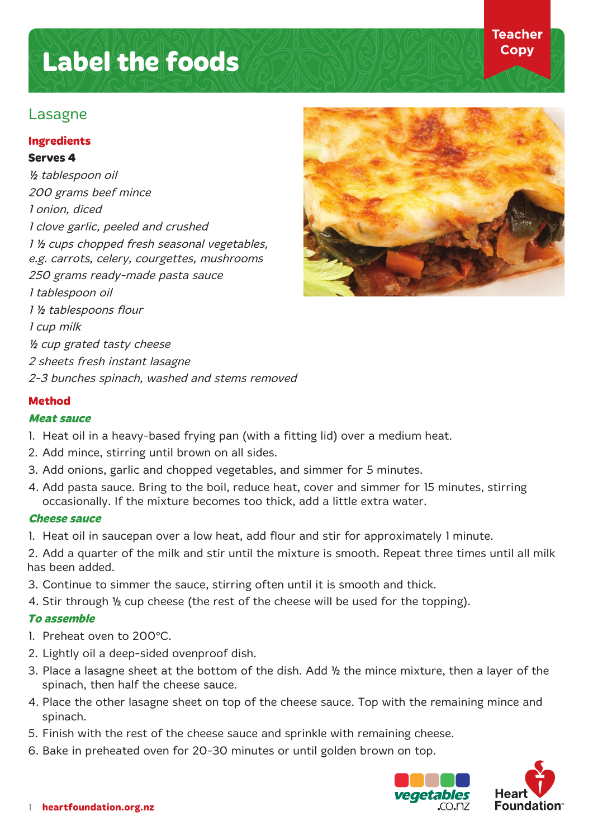# **Label the foods**

# Lasagne

# **Ingredients**

## **Serves 4**

½ tablespoon oil 200 grams beef mince 1 onion, diced 1 clove garlic, peeled and crushed 1 ½ cups chopped fresh seasonal vegetables, e.g. carrots, celery, courgettes, mushrooms 250 grams ready-made pasta sauce 1 tablespoon oil 1 ½ tablespoons flour 1 cup milk ½ cup grated tasty cheese 2 sheets fresh instant lasagne 2-3 bunches spinach, washed and stems removed

**Teacher Copy**

# **Method**

# **Meat sauce**

- 1. Heat oil in a heavy-based frying pan (with a fitting lid) over a medium heat.
- 2. Add mince, stirring until brown on all sides.
- 3. Add onions, garlic and chopped vegetables, and simmer for 5 minutes.
- 4. Add pasta sauce. Bring to the boil, reduce heat, cover and simmer for 15 minutes, stirring occasionally. If the mixture becomes too thick, add a little extra water.

### **Cheese sauce**

1. Heat oil in saucepan over a low heat, add flour and stir for approximately 1 minute.

2. Add a quarter of the milk and stir until the mixture is smooth. Repeat three times until all milk has been added.

- 3. Continue to simmer the sauce, stirring often until it is smooth and thick.
- 4. Stir through ½ cup cheese (the rest of the cheese will be used for the topping).

# **To assemble**

- 1. Preheat oven to 200° C.
- 2. Lightly oil a deep-sided ovenproof dish.
- 3. Place a lasagne sheet at the bottom of the dish. Add ½ the mince mixture, then a layer of the spinach, then half the cheese sauce.
- 4. Place the other lasagne sheet on top of the cheese sauce. Top with the remaining mince and spinach.
- 5. Finish with the rest of the cheese sauce and sprinkle with remaining cheese.
- 6. Bake in preheated oven for 20-30 minutes or until golden brown on top.